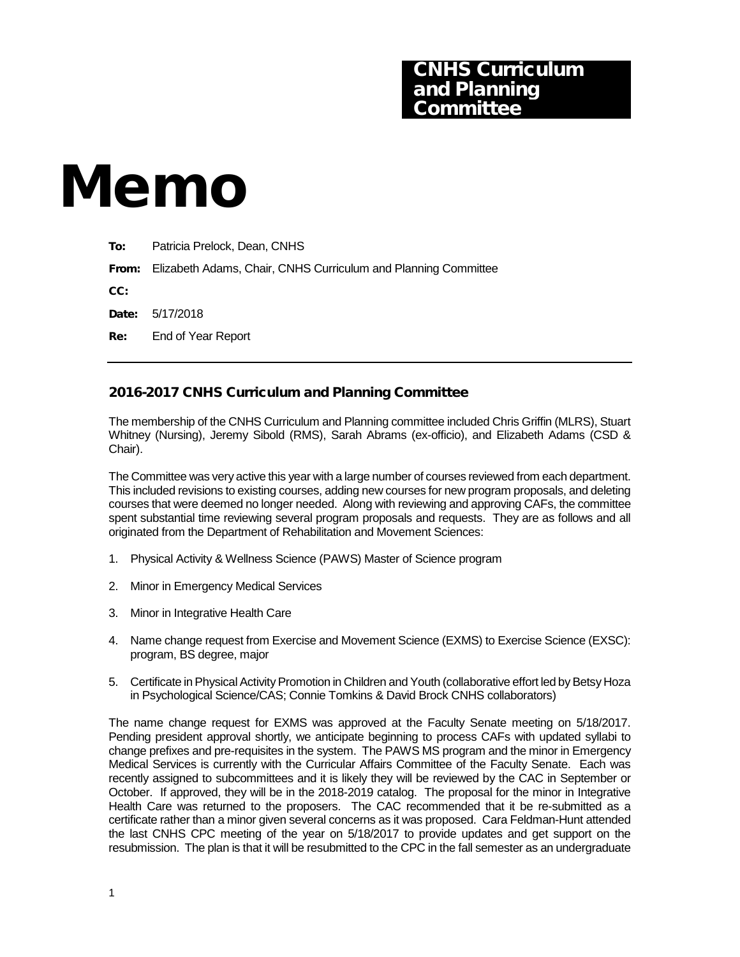## CNHS Curriculum and Planning Committee

## Memo

| To:          | Patricia Prelock, Dean, CNHS                                         |
|--------------|----------------------------------------------------------------------|
|              | From: Elizabeth Adams, Chair, CNHS Curriculum and Planning Committee |
| CC:          |                                                                      |
| <b>Date:</b> | 5/17/2018                                                            |
| Re:          | End of Year Report                                                   |
|              |                                                                      |

## 2016-2017 CNHS Curriculum and Planning Committee

The membership of the CNHS Curriculum and Planning committee included Chris Griffin (MLRS), Stuart Whitney (Nursing), Jeremy Sibold (RMS), Sarah Abrams (ex-officio), and Elizabeth Adams (CSD & Chair).

The Committee was very active this year with a large number of courses reviewed from each department. This included revisions to existing courses, adding new courses for new program proposals, and deleting courses that were deemed no longer needed. Along with reviewing and approving CAFs, the committee spent substantial time reviewing several program proposals and requests. They are as follows and all originated from the Department of Rehabilitation and Movement Sciences:

- 1. Physical Activity & Wellness Science (PAWS) Master of Science program
- 2. Minor in Emergency Medical Services
- 3. Minor in Integrative Health Care
- 4. Name change request from Exercise and Movement Science (EXMS) to Exercise Science (EXSC): program, BS degree, major
- 5. Certificate in Physical Activity Promotion in Children and Youth (collaborative effort led by Betsy Hoza in Psychological Science/CAS; Connie Tomkins & David Brock CNHS collaborators)

The name change request for EXMS was approved at the Faculty Senate meeting on 5/18/2017. Pending president approval shortly, we anticipate beginning to process CAFs with updated syllabi to change prefixes and pre-requisites in the system. The PAWS MS program and the minor in Emergency Medical Services is currently with the Curricular Affairs Committee of the Faculty Senate. Each was recently assigned to subcommittees and it is likely they will be reviewed by the CAC in September or October. If approved, they will be in the 2018-2019 catalog. The proposal for the minor in Integrative Health Care was returned to the proposers. The CAC recommended that it be re-submitted as a certificate rather than a minor given several concerns as it was proposed. Cara Feldman-Hunt attended the last CNHS CPC meeting of the year on 5/18/2017 to provide updates and get support on the resubmission. The plan is that it will be resubmitted to the CPC in the fall semester as an undergraduate